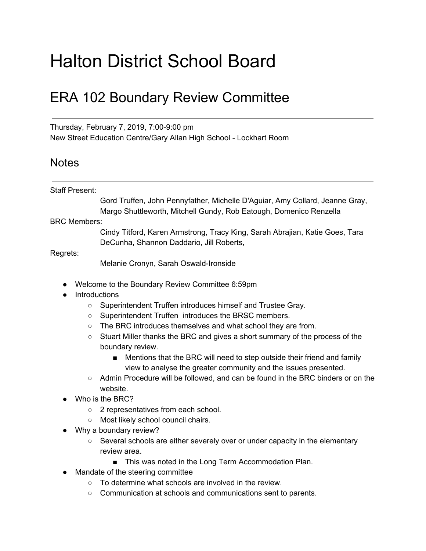## Halton District School Board

## ERA 102 Boundary Review Committee

Thursday, February 7, 2019, 7:00-9:00 pm New Street Education Centre/Gary Allan High School - Lockhart Room

## Notes

## Staff Present:

Gord Truffen, John Pennyfather, Michelle D'Aguiar, Amy Collard, Jeanne Gray, Margo Shuttleworth, Mitchell Gundy, Rob Eatough, Domenico Renzella

BRC Members:

Cindy Titford, Karen Armstrong, Tracy King, Sarah Abrajian, Katie Goes, Tara DeCunha, Shannon Daddario, Jill Roberts,

Regrets:

Melanie Cronyn, Sarah Oswald-Ironside

- Welcome to the Boundary Review Committee 6:59pm
- Introductions
	- Superintendent Truffen introduces himself and Trustee Gray.
	- Superintendent Truffen introduces the BRSC members.
	- The BRC introduces themselves and what school they are from.
	- Stuart Miller thanks the BRC and gives a short summary of the process of the boundary review.
		- Mentions that the BRC will need to step outside their friend and family view to analyse the greater community and the issues presented.
	- $\circ$  Admin Procedure will be followed, and can be found in the BRC binders or on the website.
- Who is the BRC?
	- 2 representatives from each school.
	- Most likely school council chairs.
- Why a boundary review?
	- Several schools are either severely over or under capacity in the elementary review area.
		- This was noted in the Long Term Accommodation Plan.
- Mandate of the steering committee
	- To determine what schools are involved in the review.
	- Communication at schools and communications sent to parents.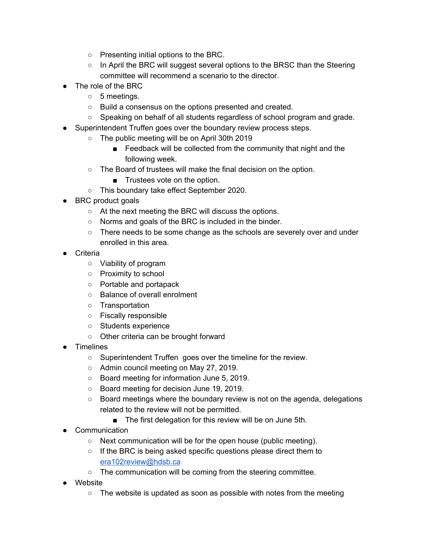- Presenting initial options to the BRC.
- In April the BRC will suggest several options to the BRSC than the Steering committee will recommend a scenario to the director.
- The role of the BRC
	- 5 meetings.
	- Build a consensus on the options presented and created.
	- Speaking on behalf of all students regardless of school program and grade.
- Superintendent Truffen goes over the boundary review process steps.
	- The public meeting will be on April 30th 2019
		- Feedback will be collected from the community that night and the following week.
	- The Board of trustees will make the final decision on the option.
		- Trustees vote on the option.
	- This boundary take effect September 2020.
- BRC product goals
	- At the next meeting the BRC will discuss the options.
	- Norms and goals of the BRC is included in the binder.
	- There needs to be some change as the schools are severely over and under enrolled in this area.
- **Criteria** 
	- Viability of program
	- Proximity to school
	- Portable and portapack
	- Balance of overall enrolment
	- Transportation
	- Fiscally responsible
	- Students experience
	- Other criteria can be brought forward
- **Timelines** 
	- Superintendent Truffen goes over the timeline for the review.
	- Admin council meeting on May 27, 2019.
	- Board meeting for information June 5, 2019.
	- Board meeting for decision June 19, 2019.
	- $\circ$  Board meetings where the boundary review is not on the agenda, delegations related to the review will not be permitted.
		- The first delegation for this review will be on June 5th.
- Communication
	- Next communication will be for the open house (public meeting).
	- If the BRC is being asked specific questions please direct them to [era102review@hdsb.ca](mailto:era102review@hdsb.ca)
	- The communication will be coming from the steering committee.
- Website
	- The website is updated as soon as possible with notes from the meeting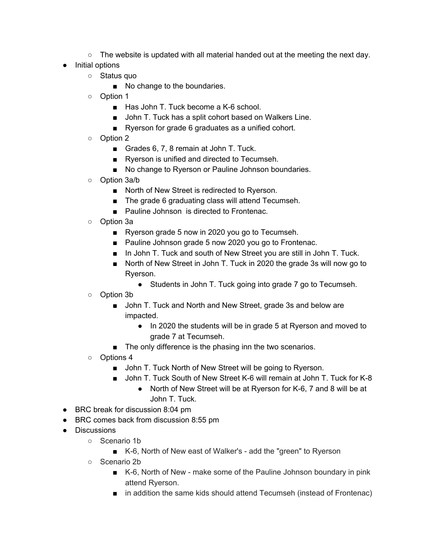- $\circ$  The website is updated with all material handed out at the meeting the next day.
- Initial options
	- Status quo
		- No change to the boundaries.
	- Option 1
		- Has John T. Tuck become a K-6 school.
		- John T. Tuck has a split cohort based on Walkers Line.
		- Ryerson for grade 6 graduates as a unified cohort.
	- Option 2
		- Grades 6, 7, 8 remain at John T. Tuck.
		- Ryerson is unified and directed to Tecumseh.
		- No change to Ryerson or Pauline Johnson boundaries.
	- Option 3a/b
		- North of New Street is redirected to Ryerson.
		- The grade 6 graduating class will attend Tecumseh.
		- Pauline Johnson is directed to Frontenac.
	- Option 3a
		- Ryerson grade 5 now in 2020 you go to Tecumseh.
		- Pauline Johnson grade 5 now 2020 you go to Frontenac.
		- In John T. Tuck and south of New Street you are still in John T. Tuck.
		- North of New Street in John T. Tuck in 2020 the grade 3s will now go to Ryerson.
			- Students in John T. Tuck going into grade 7 go to Tecumseh.
	- Option 3b
		- John T. Tuck and North and New Street, grade 3s and below are impacted.
			- In 2020 the students will be in grade 5 at Ryerson and moved to grade 7 at Tecumseh.
		- The only difference is the phasing inn the two scenarios.
	- Options 4
		- John T. Tuck North of New Street will be going to Ryerson.
		- John T. Tuck South of New Street K-6 will remain at John T. Tuck for K-8
			- North of New Street will be at Ryerson for K-6, 7 and 8 will be at John T. Tuck.
- BRC break for discussion 8:04 pm
- BRC comes back from discussion 8:55 pm
- Discussions
	- Scenario 1b
		- K-6, North of New east of Walker's add the "green" to Ryerson
	- Scenario 2b
		- K-6, North of New make some of the Pauline Johnson boundary in pink attend Ryerson.
		- in addition the same kids should attend Tecumseh (instead of Frontenac)